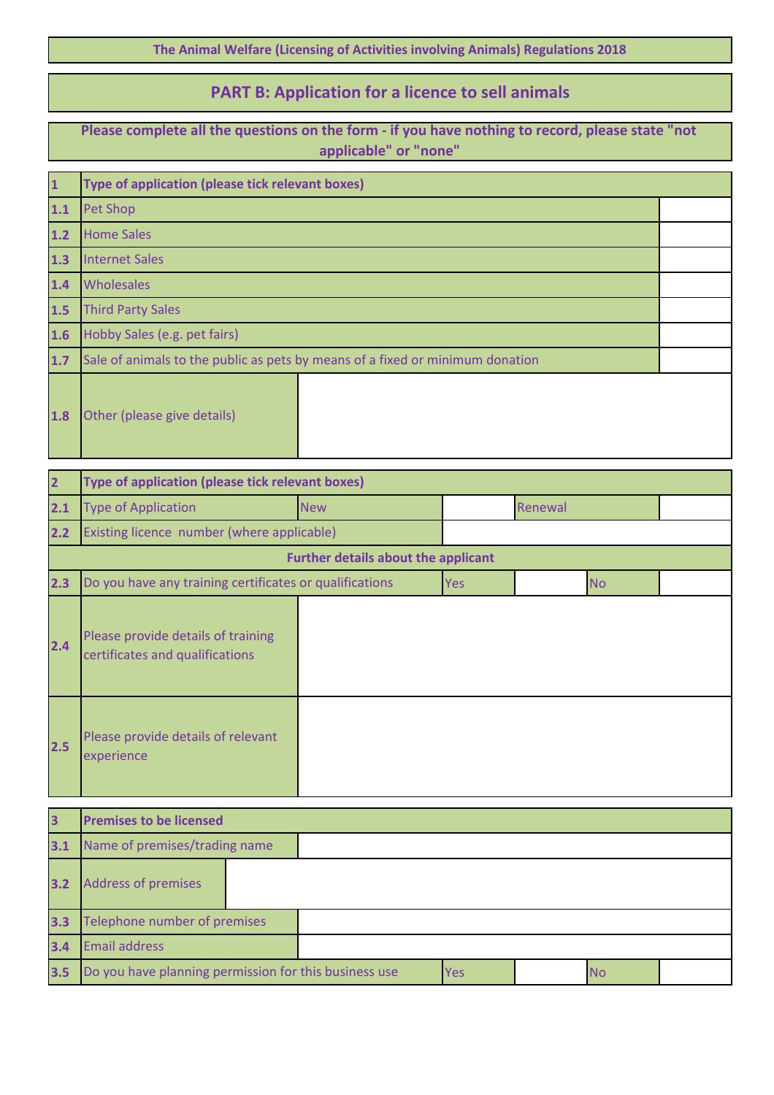**The Animal Welfare (Licensing of Activities involving Animals) Regulations 2018**

## **PART B: Application for a licence to sell animals**

**Please complete all the questions on the form - if you have nothing to record, please state "not applicable" or "none"**

| $\overline{\mathbf{1}}$ | Type of application (please tick relevant boxes)                              |  |  |  |  |
|-------------------------|-------------------------------------------------------------------------------|--|--|--|--|
| 1.1                     | <b>Pet Shop</b>                                                               |  |  |  |  |
| $1.2$                   | <b>Home Sales</b>                                                             |  |  |  |  |
| 1.3                     | <b>Internet Sales</b>                                                         |  |  |  |  |
| 1.4                     | Wholesales                                                                    |  |  |  |  |
| 1.5                     | <b>Third Party Sales</b>                                                      |  |  |  |  |
| 1.6                     | Hobby Sales (e.g. pet fairs)                                                  |  |  |  |  |
| 1.7                     | Sale of animals to the public as pets by means of a fixed or minimum donation |  |  |  |  |
| 1.8                     | Other (please give details)                                                   |  |  |  |  |

| $\overline{2}$ | Type of application (please tick relevant boxes)                      |                                            |            |         |           |  |
|----------------|-----------------------------------------------------------------------|--------------------------------------------|------------|---------|-----------|--|
| 2.1            | <b>Type of Application</b>                                            | <b>New</b>                                 |            | Renewal |           |  |
| 2.2            | Existing licence number (where applicable)                            |                                            |            |         |           |  |
|                |                                                                       | <b>Further details about the applicant</b> |            |         |           |  |
| 2.3            | Do you have any training certificates or qualifications               |                                            | <b>Yes</b> |         | <b>No</b> |  |
| 2.4            | Please provide details of training<br>certificates and qualifications |                                            |            |         |           |  |
| 2.5            | Please provide details of relevant<br>experience                      |                                            |            |         |           |  |

| $\overline{\mathbf{3}}$ | <b>Premises to be licensed</b>                        |  |  |            |  |           |  |
|-------------------------|-------------------------------------------------------|--|--|------------|--|-----------|--|
| 3.1                     | Name of premises/trading name                         |  |  |            |  |           |  |
| 3.2                     | <b>Address of premises</b>                            |  |  |            |  |           |  |
| 3.3                     | Telephone number of premises                          |  |  |            |  |           |  |
| 3.4                     | <b>Email address</b>                                  |  |  |            |  |           |  |
| 3.5                     | Do you have planning permission for this business use |  |  | <b>Yes</b> |  | <b>No</b> |  |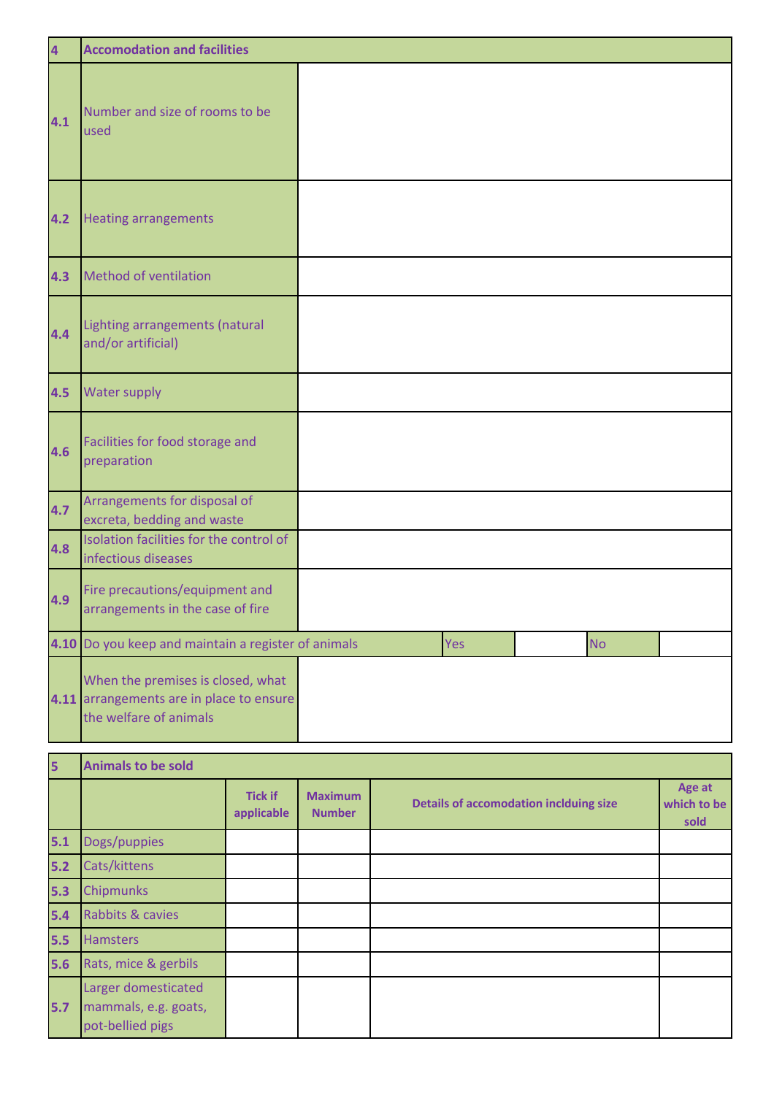| $\overline{\mathbf{4}}$ | <b>Accomodation and facilities</b>                                                                      |     |           |  |
|-------------------------|---------------------------------------------------------------------------------------------------------|-----|-----------|--|
| 4.1                     | Number and size of rooms to be<br>used                                                                  |     |           |  |
| 4.2                     | <b>Heating arrangements</b>                                                                             |     |           |  |
| 4.3                     | Method of ventilation                                                                                   |     |           |  |
| 4.4                     | Lighting arrangements (natural<br>and/or artificial)                                                    |     |           |  |
| 4.5                     | <b>Water supply</b>                                                                                     |     |           |  |
| 4.6                     | Facilities for food storage and<br>preparation                                                          |     |           |  |
| 4.7                     | Arrangements for disposal of<br>excreta, bedding and waste                                              |     |           |  |
| 4.8                     | Isolation facilities for the control of<br>infectious diseases                                          |     |           |  |
| 4.9                     | Fire precautions/equipment and<br>arrangements in the case of fire                                      |     |           |  |
|                         | 4.10 Do you keep and maintain a register of animals                                                     | Yes | <b>No</b> |  |
|                         | When the premises is closed, what<br>4.11 arrangements are in place to ensure<br>the welfare of animals |     |           |  |

| $\overline{\mathbf{5}}$ | <b>Animals to be sold</b>                                       |                              |                                 |                                               |                               |
|-------------------------|-----------------------------------------------------------------|------------------------------|---------------------------------|-----------------------------------------------|-------------------------------|
|                         |                                                                 | <b>Tick if</b><br>applicable | <b>Maximum</b><br><b>Number</b> | <b>Details of accomodation inclduing size</b> | Age at<br>which to be<br>sold |
| $5.1$                   | Dogs/puppies                                                    |                              |                                 |                                               |                               |
| $5.2$                   | Cats/kittens                                                    |                              |                                 |                                               |                               |
| 5.3                     | <b>Chipmunks</b>                                                |                              |                                 |                                               |                               |
| 5.4                     | Rabbits & cavies                                                |                              |                                 |                                               |                               |
| 5.5                     | <b>Hamsters</b>                                                 |                              |                                 |                                               |                               |
| 5.6                     | Rats, mice & gerbils                                            |                              |                                 |                                               |                               |
| 5.7                     | Larger domesticated<br>mammals, e.g. goats,<br>pot-bellied pigs |                              |                                 |                                               |                               |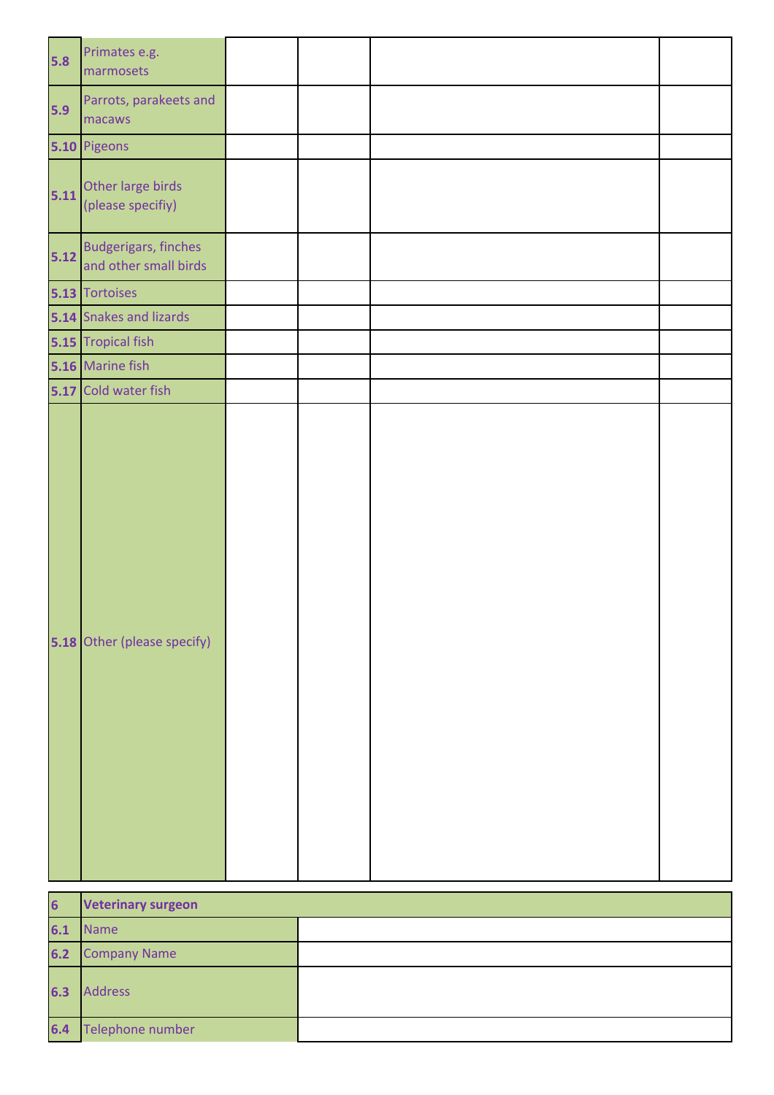| $5.8$ | Primates e.g.<br>marmosets                           |  |  |
|-------|------------------------------------------------------|--|--|
| 5.9   | Parrots, parakeets and<br>macaws                     |  |  |
|       | 5.10 Pigeons                                         |  |  |
| 5.11  | Other large birds<br>(please specifiy)               |  |  |
| 5.12  | <b>Budgerigars, finches</b><br>and other small birds |  |  |
|       | 5.13 Tortoises                                       |  |  |
|       | 5.14 Snakes and lizards                              |  |  |
|       | 5.15 Tropical fish                                   |  |  |
|       | 5.16 Marine fish                                     |  |  |
|       | 5.17 Cold water fish                                 |  |  |
|       | 5.18 Other (please specify)                          |  |  |

| $6\phantom{a}$ | <b>Veterinary surgeon</b> |  |  |
|----------------|---------------------------|--|--|
| 6.1            | Name                      |  |  |
|                | <b>6.2</b> Company Name   |  |  |
| 6.3            | Address                   |  |  |
| 6.4            | Telephone number          |  |  |